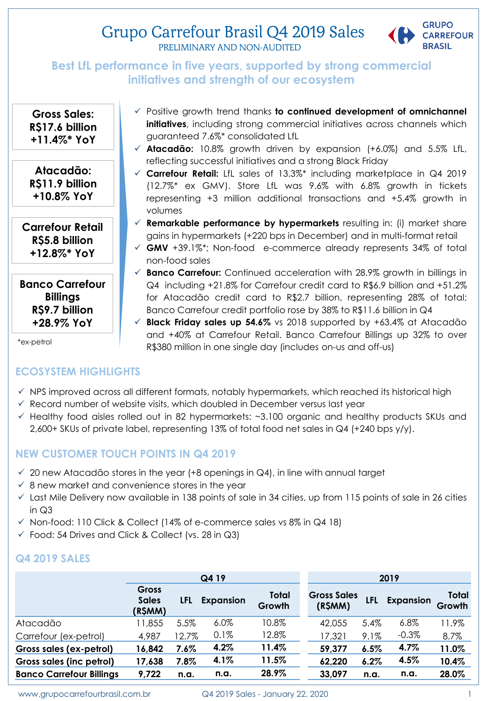# Grupo Carrefour Brasil Q4 2019 Sales



PRELIMINARY AND NON-AUDITED

## **Best LfL performance in five years, supported by strong commercial initiatives and strength of our ecosystem**

**Gross Sales: R\$17.6 billion +11.4%\* YoY** 

**Atacadão: R\$11.9 billion +10.8% YoY**

**Carrefour Retail R\$5.8 billion +12.8%\* YoY**

**Banco Carrefour Billings R\$9.7 billion +28.9% YoY**

\*ex-petrol

## **ECOSYSTEM HIGHLIGHTS**

**initiatives**, including strong commercial initiatives across channels which guaranteed 7.6%\* consolidated LfL **Atacadão:** 10.8% growth driven by expansion (+6.0%) and 5.5% LfL, reflecting successful initiatives and a strong Black Friday

Positive growth trend thanks **to continued development of omnichannel**

- **Carrefour Retail:** LfL sales of 13.3%\* including marketplace in Q4 2019 (12.7%\* ex GMV). Store LfL was 9.6% with 6.8% growth in tickets representing +3 million additional transactions and +5.4% growth in volumes
- **Remarkable performance by hypermarkets** resulting in: (i) market share gains in hypermarkets (+220 bps in December) and in multi-format retail
- **GMV** +39.1%\*; Non-food e-commerce already represents 34% of total non-food sales
- **Banco Carrefour:** Continued acceleration with 28.9% growth in billings in Q4 including +21.8% for Carrefour credit card to R\$6.9 billion and +51.2% for Atacadão credit card to R\$2.7 billion, representing 28% of total; Banco Carrefour credit portfolio rose by 38% to R\$11.6 billion in Q4
- **Black Friday sales up 54.6%** vs 2018 supported by +63.4% at Atacadão and +40% at Carrefour Retail. Banco Carrefour Billings up 32% to over R\$380 million in one single day (includes on-us and off-us)
- $\checkmark$  NPS improved across all different formats, notably hypermarkets, which reached its historical high
- $\checkmark$  Record number of website visits, which doubled in December versus last year
- $\checkmark$  Healthy food aisles rolled out in 82 hypermarkets:  $\sim$ 3.100 organic and healthy products SKUs and 2,600+ SKUs of private label, representing 13% of total food net sales in Q4 (+240 bps y/y).

## **NEW CUSTOMER TOUCH POINTS IN Q4 2019**

- $\checkmark$  20 new Atacadão stores in the year (+8 openings in Q4), in line with annual target
- $\checkmark$  8 new market and convenience stores in the year
- $\checkmark$  Last Mile Delivery now available in 138 points of sale in 34 cities, up from 115 points of sale in 26 cities in Q3
- $\checkmark$  Non-food: 110 Click & Collect (14% of e-commerce sales vs 8% in Q4 18)
- $\checkmark$  Food: 54 Drives and Click & Collect (vs. 28 in Q3)

## **Q4 2019 SALES**

|                                 |                                         | Q4 19 |                  |                 |  | 2019                          |      |                  |                 |  |
|---------------------------------|-----------------------------------------|-------|------------------|-----------------|--|-------------------------------|------|------------------|-----------------|--|
|                                 | <b>Gross</b><br><b>Sales</b><br>(R\$MM) | LFL   | <b>Expansion</b> | Total<br>Growth |  | <b>Gross Sales</b><br>(R\$MM) | LFL  | <b>Expansion</b> | Total<br>Growth |  |
| Atacadão                        | 11,855                                  | 5.5%  | 6.0%             | 10.8%           |  | 42,055                        | 5.4% | $6.8\%$          | 11.9%           |  |
| Carrefour (ex-petrol)           | 4,987                                   | 2.7%  | 0.1%             | 12.8%           |  | 17,321                        | 9.1% | $-0.3%$          | 8.7%            |  |
| Gross sales (ex-petrol)         | 16,842                                  | 7.6%  | 4.2%             | 11.4%           |  | 59,377                        | 6.5% | 4.7%             | 11.0%           |  |
| Gross sales (inc petrol)        | 17,638                                  | 7.8%  | 4.1%             | 11.5%           |  | 62,220                        | 6.2% | 4.5%             | 10.4%           |  |
| <b>Banco Carrefour Billings</b> | 9,722                                   | n.a.  | n.a.             | 28.9%           |  | 33,097                        | n.a. | n.a.             | 28.0%           |  |

www.grupocarrefourbrasil.com.br Q4 2019 Sales - January 22, 2020 1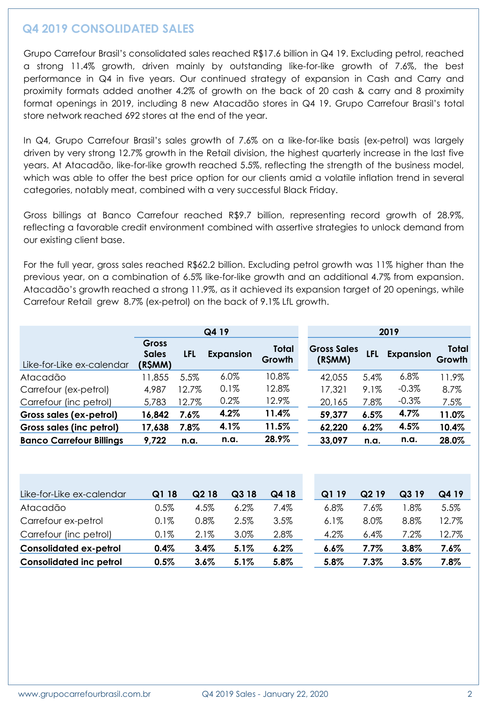## **Q4 2019 CONSOLIDATED SALES**

Grupo Carrefour Brasil's consolidated sales reached R\$17.6 billion in Q4 19. Excluding petrol, reached a strong 11.4% growth, driven mainly by outstanding like-for-like growth of 7.6%, the best performance in Q4 in five years. Our continued strategy of expansion in Cash and Carry and proximity formats added another 4.2% of growth on the back of 20 cash & carry and 8 proximity format openings in 2019, including 8 new Atacadão stores in Q4 19. Grupo Carrefour Brasil's total store network reached 692 stores at the end of the year.

In Q4, Grupo Carrefour Brasil's sales growth of 7.6% on a like-for-like basis (ex-petrol) was largely driven by very strong 12.7% growth in the Retail division, the highest quarterly increase in the last five years. At Atacadão, like-for-like growth reached 5.5%, reflecting the strength of the business model, which was able to offer the best price option for our clients amid a volatile inflation trend in several categories, notably meat, combined with a very successful Black Friday.

Gross billings at Banco Carrefour reached R\$9.7 billion, representing record growth of 28.9%, reflecting a favorable credit environment combined with assertive strategies to unlock demand from our existing client base.

For the full year, gross sales reached R\$62.2 billion. Excluding petrol growth was 11% higher than the previous year, on a combination of 6.5% like-for-like growth and an additional 4.7% from expansion. Atacadão's growth reached a strong 11.9%, as it achieved its expansion target of 20 openings, while Carrefour Retail grew 8.7% (ex-petrol) on the back of 9.1% LfL growth.

|                                 | Q4 19                                   |         |                  |                 | 2019                          |      |                  |                        |  |
|---------------------------------|-----------------------------------------|---------|------------------|-----------------|-------------------------------|------|------------------|------------------------|--|
| Like-for-Like ex-calendar       | <b>Gross</b><br><b>Sales</b><br>(R\$MM) | LFL     | <b>Expansion</b> | Total<br>Growth | <b>Gross Sales</b><br>(R\$MM) | LFL  | <b>Expansion</b> | <b>Total</b><br>Growth |  |
| Atacadão                        | 1,855                                   | 5.5%    | $6.0\%$          | 10.8%           | 42,055                        | 5.4% | $6.8\%$          | 11.9%                  |  |
| Carrefour (ex-petrol)           | 4,987                                   | 12.7%   | 0.1%             | 12.8%           | 17,321                        | 9.1% | $-0.3\%$         | 8.7%                   |  |
| Carrefour (inc petrol)          | 5,783                                   | 12.7%   | 0.2%             | 12.9%           | 20,165                        | 7.8% | $-0.3%$          | 7.5%                   |  |
| Gross sales (ex-petrol)         | 16,842                                  | $7.6\%$ | 4.2%             | 11.4%           | 59,377                        | 6.5% | 4.7%             | 11.0%                  |  |
| Gross sales (inc petrol)        | 17,638                                  | 7.8%    | 4.1%             | 11.5%           | 62,220                        | 6.2% | 4.5%             | 10.4%                  |  |
| <b>Banco Carrefour Billings</b> | 9,722                                   | n.a.    | n.a.             | 28.9%           | 33,097                        | n.a. | n.a.             | 28.0%                  |  |

| Like-for-Like ex-calendar      | Q1 18   | Q2 18   | Q318    | Q4 18 | Q1<br>-19 | Q <sub>2</sub> 19 | Q319    | Q4 19 |
|--------------------------------|---------|---------|---------|-------|-----------|-------------------|---------|-------|
| Atacadão                       | $0.5\%$ | 4.5%    | $6.2\%$ | 7.4%  | 6.8%      | 7.6%              | '.8%    | 5.5%  |
| Carrefour ex-petrol            | 0.1%    | 0.8%    | 2.5%    | 3.5%  | 6.1%      | 8.0%              | 8.8%    | 12.7% |
| Carrefour (inc petrol)         | 0.1%    | $2.1\%$ | 3.0%    | 2.8%  | 4.2%      | $6.4\%$           | $7.2\%$ | 12.7% |
| <b>Consolidated ex-petrol</b>  | 0.4%    | 3.4%    | 5.1%    | 6.2%  | $6.6\%$   | 7.7%              | 3.8%    | 7.6%  |
| <b>Consolidated inc petrol</b> | 0.5%    | $3.6\%$ | 5.1%    | 5.8%  | 5.8%      | $7.3\%$           | 3.5%    | 7.8%  |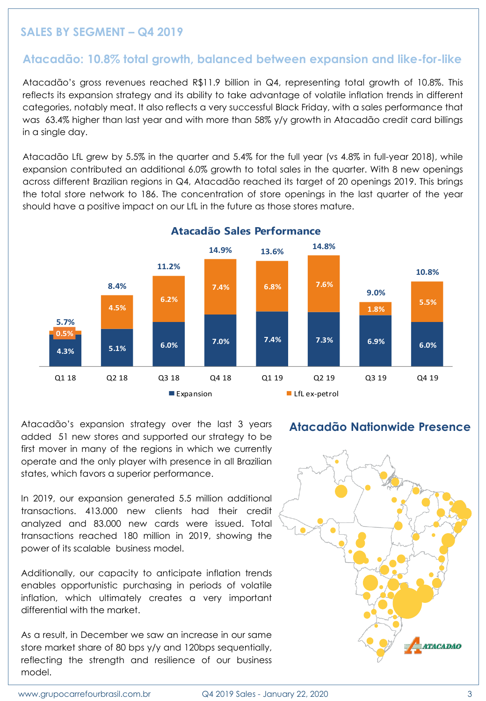## **SALES BY SEGMENT – Q4 2019**

#### **Atacadão: 10.8% total growth, balanced between expansion and like-for-like**

Atacadão's gross revenues reached R\$11.9 billion in Q4, representing total growth of 10.8%. This reflects its expansion strategy and its ability to take advantage of volatile inflation trends in different categories, notably meat. It also reflects a very successful Black Friday, with a sales performance that was 63.4% higher than last year and with more than 58% y/y growth in Atacadão credit card billings in a single day.

Atacadão LfL grew by 5.5% in the quarter and 5.4% for the full year (vs 4.8% in full-year 2018), while expansion contributed an additional 6.0% growth to total sales in the quarter. With 8 new openings across different Brazilian regions in Q4, Atacadão reached its target of 20 openings 2019. This brings the total store network to 186. The concentration of store openings in the last quarter of the year should have a positive impact on our LfL in the future as those stores mature.



Atacadão's expansion strategy over the last 3 years added 51 new stores and supported our strategy to be first mover in many of the regions in which we currently operate and the only player with presence in all Brazilian states, which favors a superior performance.

In 2019, our expansion generated 5.5 million additional transactions. 413.000 new clients had their credit analyzed and 83.000 new cards were issued. Total transactions reached 180 million in 2019, showing the power of its scalable business model.

Additionally, our capacity to anticipate inflation trends enables opportunistic purchasing in periods of volatile inflation, which ultimately creates a very important differential with the market.

As a result, in December we saw an increase in our same store market share of 80 bps y/y and 120bps sequentially, reflecting the strength and resilience of our business model.

#### **Atacadão Nationwide Presence**

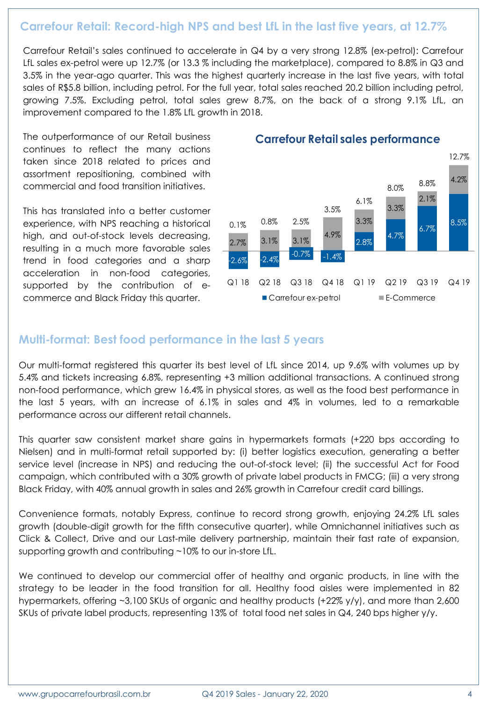## **Carrefour Retail: Record-high NPS and best LfL in the last five years, at 12.7%**

Carrefour Retail's sales continued to accelerate in Q4 by a very strong 12.8% (ex-petrol): Carrefour LfL sales ex-petrol were up 12.7% (or 13.3 % including the marketplace), compared to 8.8% in Q3 and 3.5% in the year-ago quarter. This was the highest quarterly increase in the last five years, with total sales of R\$5.8 billion, including petrol. For the full year, total sales reached 20.2 billion including petrol, growing 7.5%. Excluding petrol, total sales grew 8.7%, on the back of a strong 9.1% LfL, an improvement compared to the 1.8% LfL growth in 2018.

The outperformance of our Retail business continues to reflect the many actions taken since 2018 related to prices and assortment repositioning, combined with commercial and food transition initiatives.

This has translated into a better customer experience, with NPS reaching a historical high, and out-of-stock levels decreasing, resulting in a much more favorable sales trend in food categories and a sharp acceleration in non-food categories, supported by the contribution of ecommerce and Black Friday this quarter.



#### **Carrefour Retail sales performance**

## **Multi-format: Best food performance in the last 5 years**

Our multi-format registered this quarter its best level of LfL since 2014, up 9.6% with volumes up by 5.4% and tickets increasing 6.8%, representing +3 million additional transactions. A continued strong non-food performance, which grew 16.4% in physical stores, as well as the food best performance in the last 5 years, with an increase of 6.1% in sales and 4% in volumes, led to a remarkable performance across our different retail channels.

This quarter saw consistent market share gains in hypermarkets formats (+220 bps according to Nielsen) and in multi-format retail supported by: (i) better logistics execution, generating a better service level (increase in NPS) and reducing the out-of-stock level; (ii) the successful Act for Food campaign, which contributed with a 30% growth of private label products in FMCG; (iii) a very strong Black Friday, with 40% annual growth in sales and 26% growth in Carrefour credit card billings.

Convenience formats, notably Express, continue to record strong growth, enjoying 24.2% LfL sales growth (double-digit growth for the fifth consecutive quarter), while Omnichannel initiatives such as Click & Collect, Drive and our Last-mile delivery partnership, maintain their fast rate of expansion, supporting growth and contributing ~10% to our in-store LfL.

We continued to develop our commercial offer of healthy and organic products, in line with the strategy to be leader in the food transition for all. Healthy food aisles were implemented in 82 hypermarkets, offering ~3,100 SKUs of organic and healthy products (+22% y/y), and more than 2,600 SKUs of private label products, representing 13% of total food net sales in Q4, 240 bps higher y/y.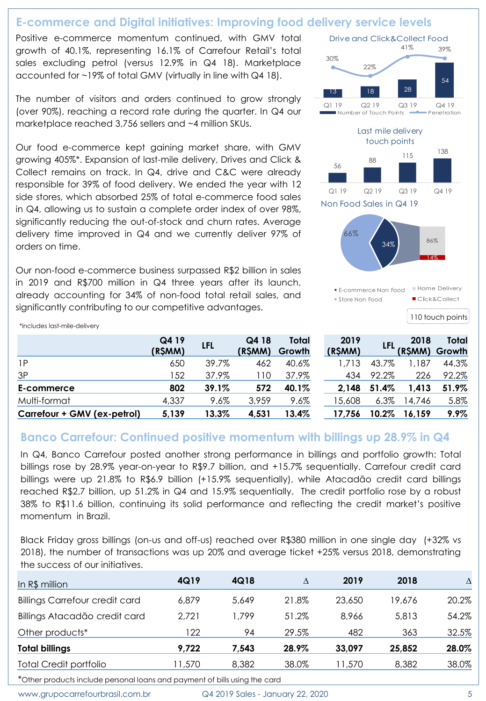# **E-commerce and Digital initiatives: Improving food delivery service levels**

Positive e-commerce momentum continued, with GMV total growth of 40.1%, representing 16.1% of Carrefour Retail's total sales excluding petrol (versus 12.9% in Q4 18). Marketplace accounted for ~19% of total GMV (virtually in line with Q4 18).

The number of visitors and orders continued to grow strongly (over 90%), reaching a record rate during the quarter. In Q4 our marketplace reached 3,756 sellers and ~4 million SKUs.

Our food e-commerce kept gaining market share, with GMV growing 405%\*. Expansion of last-mile delivery, Drives and Click & Collect remains on track. In Q4, drive and C&C were already responsible for 39% of food delivery. We ended the year with 12 side stores, which absorbed 25% of total e-commerce food sales in Q4, allowing us to sustain a complete order index of over 98%, significantly reducing the out-of-stock and churn rates. Average delivery time improved in Q4 and we currently deliver 97% of orders on time.

Our non-food e-commerce business surpassed R\$2 billion in sales in 2019 and R\$700 million in Q4 three years after its launch, already accounting for 34% of non-food total retail sales, and significantly contributing to our competitive advantages.

110 touch points <sup>13</sup> <sup>18</sup> <sup>28</sup> 54 30% 22% 41% 39% Q1 19 Q2 19 Q3 19 Q4 19 Drive and Click&Collect Food Number of Touch Points **- Penetration** 56 88 115 <sup>138</sup> Q1 19 Q2 19 Q3 19 Q4 19 Last mile delivery touch points 34% 66% Non Food Sales in Q4 19 E-commerce Non Food Store Non Food 14% 86% **Home Delivery** Click&Collect

\*includes last-mile-delivery

|                             | Q4 19<br>(R\$MM) | <b>LFL</b> | Q4 18<br>(R\$MM) | Total<br>Growth | 2019<br>(R\$MM) |         | 2018<br>(R\$MM) | Total<br>Growth |
|-----------------------------|------------------|------------|------------------|-----------------|-----------------|---------|-----------------|-----------------|
| 1P                          | 650              | 39.7%      | 462              | 40.6%           | 1.713           | 43.7%   | 1.187           | 44.3%           |
| 3P                          | 52               | 37.9%      | 110              | 37.9%           | 434             | 92.2%   | 226             | 92.2%           |
| E-commerce                  | 802              | 39.1%      | 572              | 40.1%           | 2.148           | 51.4%   | 1.413           | 51.9%           |
| Multi-format                | 4,337            | $9.6\%$    | 3,959            | 9.6%            | 15,608          | $6.3\%$ | 14,746          | 5.8%            |
| Carrefour + GMV (ex-petrol) | 5,139            | 13.3%      | 4,531            | 13.4%           | 17,756          | 10.2%   | 16.159          | $9.9\%$         |

## **Banco Carrefour: Continued positive momentum with billings up 28.9% in Q4**

In Q4, Banco Carrefour posted another strong performance in billings and portfolio growth: Total billings rose by 28.9% year-on-year to R\$9.7 billion, and +15.7% sequentially. Carrefour credit card billings were up 21.8% to R\$6.9 billion (+15.9% sequentially), while Atacadão credit card billings reached R\$2.7 billion, up 51.2% in Q4 and 15.9% sequentially. The credit portfolio rose by a robust 38% to R\$11.6 billion, continuing its solid performance and reflecting the credit market's positive momentum in Brazil.

Black Friday gross billings (on-us and off-us) reached over R\$380 million in one single day (+32% vs 2018), the number of transactions was up 20% and average ticket +25% versus 2018, demonstrating the success of our initiatives.

| In R\$ million                        | 4Q19   | 4Q18  | Δ     | 2019   | 2018   | $\Delta$ |
|---------------------------------------|--------|-------|-------|--------|--------|----------|
| <b>Billings Carrefour credit card</b> | 6,879  | 5,649 | 21.8% | 23,650 | 19.676 | 20.2%    |
| Billings Atacadão credit card         | 2,721  | .799  | 51.2% | 8.966  | 5,813  | 54.2%    |
| Other products*                       | 122    | 94    | 29.5% | 482    | 363    | 32.5%    |
| <b>Total billings</b>                 | 9,722  | 7.543 | 28.9% | 33,097 | 25,852 | 28.0%    |
| <b>Total Credit portfolio</b>         | 11,570 | 8,382 | 38.0% | 11,570 | 8,382  | 38.0%    |

\*Other products include personal loans and payment of bills using the card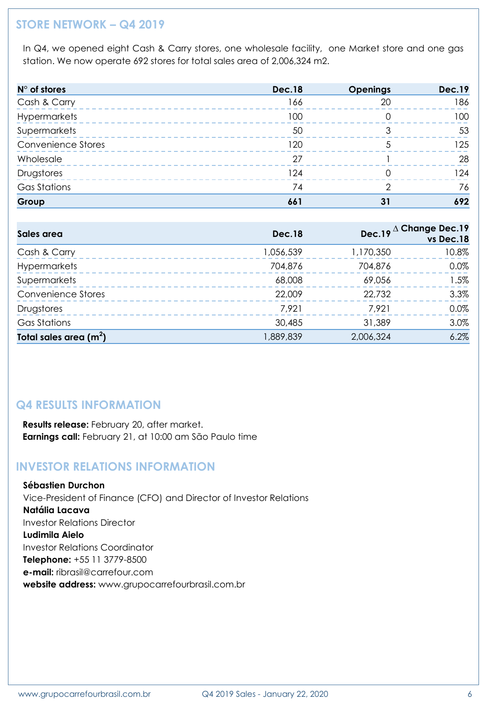# **STORE NETWORK – Q4 2019**

In Q4, we opened eight Cash & Carry stores, one wholesale facility, one Market store and one gas station. We now operate 692 stores for total sales area of 2,006,324 m2.

| $N^{\circ}$ of stores     | <b>Dec.18</b> | <b>Openings</b> | <b>Dec.19</b> |
|---------------------------|---------------|-----------------|---------------|
| Cash & Carry              | 166           | 20              | 186           |
| Hypermarkets              | 100           |                 | 100           |
| Supermarkets              | 50            |                 | 53            |
| <b>Convenience Stores</b> | 120           |                 | 125           |
| Wholesale                 | 27            |                 | 28            |
| Drugstores                | 124           |                 | 124           |
| <b>Gas Stations</b>       | 74            |                 | 76            |
| Group                     | 661           | 31              | 692           |

| Sales area                | <b>Dec.18</b> |           | Dec.19 $\Delta$ Change Dec.19<br>vs Dec.18 |
|---------------------------|---------------|-----------|--------------------------------------------|
| Cash & Carry              | 1,056,539     | 1,170,350 | 10.8%                                      |
| <b>Hypermarkets</b>       | 704,876       | 704,876   | $0.0\%$                                    |
| Supermarkets              | 68,008        | 69,056    | 1.5%                                       |
| <b>Convenience Stores</b> | 22,009        | 22,732    | 3.3%                                       |
| Drugstores                | 7.921         | 7.921     | 0.0%                                       |
| <b>Gas Stations</b>       | 30,485        | 31,389    | 3.0%                                       |
| Total sales area $(m2)$   | 1,889,839     | 2,006,324 | 6.2%                                       |

## **Q4 RESULTS INFORMATION**

**Results release:** February 20, after market. **Earnings call:** February 21, at 10:00 am São Paulo time

## **INVESTOR RELATIONS INFORMATION**

**Sébastien Durchon** Vice-President of Finance (CFO) and Director of Investor Relations **Natália Lacava** Investor Relations Director **Ludimila Aielo** Investor Relations Coordinator **Telephone:** +55 11 3779-8500 **e-mail:** ribrasil@carrefour.com **website address:** www.grupocarrefourbrasil.com.br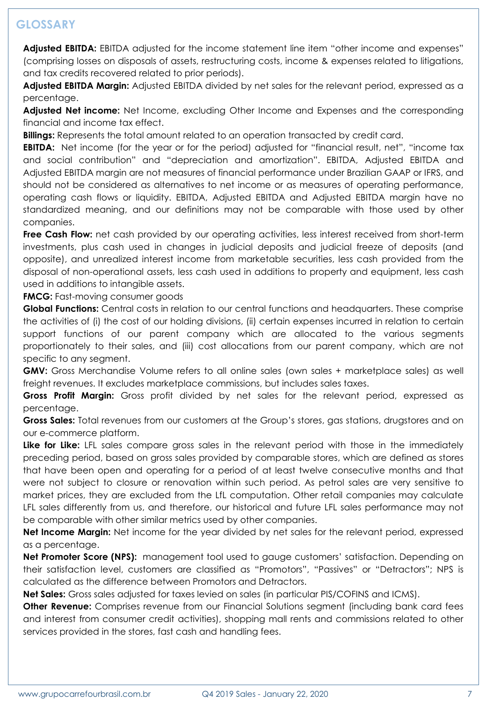# **GLOSSARY**

**Adjusted EBITDA:** EBITDA adjusted for the income statement line item "other income and expenses" (comprising losses on disposals of assets, restructuring costs, income & expenses related to litigations, and tax credits recovered related to prior periods).

**Adjusted EBITDA Margin:** Adjusted EBITDA divided by net sales for the relevant period, expressed as a percentage.

**Adjusted Net income:** Net Income, excluding Other Income and Expenses and the corresponding financial and income tax effect.

**Billings:** Represents the total amount related to an operation transacted by credit card.

**EBITDA:** Net income (for the year or for the period) adjusted for "financial result, net", "income tax and social contribution" and "depreciation and amortization". EBITDA, Adjusted EBITDA and Adjusted EBITDA margin are not measures of financial performance under Brazilian GAAP or IFRS, and should not be considered as alternatives to net income or as measures of operating performance, operating cash flows or liquidity. EBITDA, Adjusted EBITDA and Adjusted EBITDA margin have no standardized meaning, and our definitions may not be comparable with those used by other companies.

**Free Cash Flow:** net cash provided by our operating activities, less interest received from short-term investments, plus cash used in changes in judicial deposits and judicial freeze of deposits (and opposite), and unrealized interest income from marketable securities, less cash provided from the disposal of non-operational assets, less cash used in additions to property and equipment, less cash used in additions to intangible assets.

**FMCG:** Fast-moving consumer goods

**Global Functions:** Central costs in relation to our central functions and headquarters. These comprise the activities of (i) the cost of our holding divisions, (ii) certain expenses incurred in relation to certain support functions of our parent company which are allocated to the various segments proportionately to their sales, and (iii) cost allocations from our parent company, which are not specific to any segment.

**GMV:** Gross Merchandise Volume refers to all online sales (own sales + marketplace sales) as well freight revenues. It excludes marketplace commissions, but includes sales taxes.

**Gross Profit Margin:** Gross profit divided by net sales for the relevant period, expressed as percentage.

**Gross Sales:** Total revenues from our customers at the Group's stores, gas stations, drugstores and on our e-commerce platform.

**Like for Like:** LFL sales compare gross sales in the relevant period with those in the immediately preceding period, based on gross sales provided by comparable stores, which are defined as stores that have been open and operating for a period of at least twelve consecutive months and that were not subject to closure or renovation within such period. As petrol sales are very sensitive to market prices, they are excluded from the LfL computation. Other retail companies may calculate LFL sales differently from us, and therefore, our historical and future LFL sales performance may not be comparable with other similar metrics used by other companies.

**Net Income Margin:** Net income for the year divided by net sales for the relevant period, expressed as a percentage.

**Net Promoter Score (NPS):** management tool used to gauge customers' satisfaction. Depending on their satisfaction level, customers are classified as "Promotors", "Passives" or "Detractors"; NPS is calculated as the difference between Promotors and Detractors.

**Net Sales:** Gross sales adjusted for taxes levied on sales (in particular PIS/COFINS and ICMS).

**Other Revenue:** Comprises revenue from our Financial Solutions segment (including bank card fees and interest from consumer credit activities), shopping mall rents and commissions related to other services provided in the stores, fast cash and handling fees.